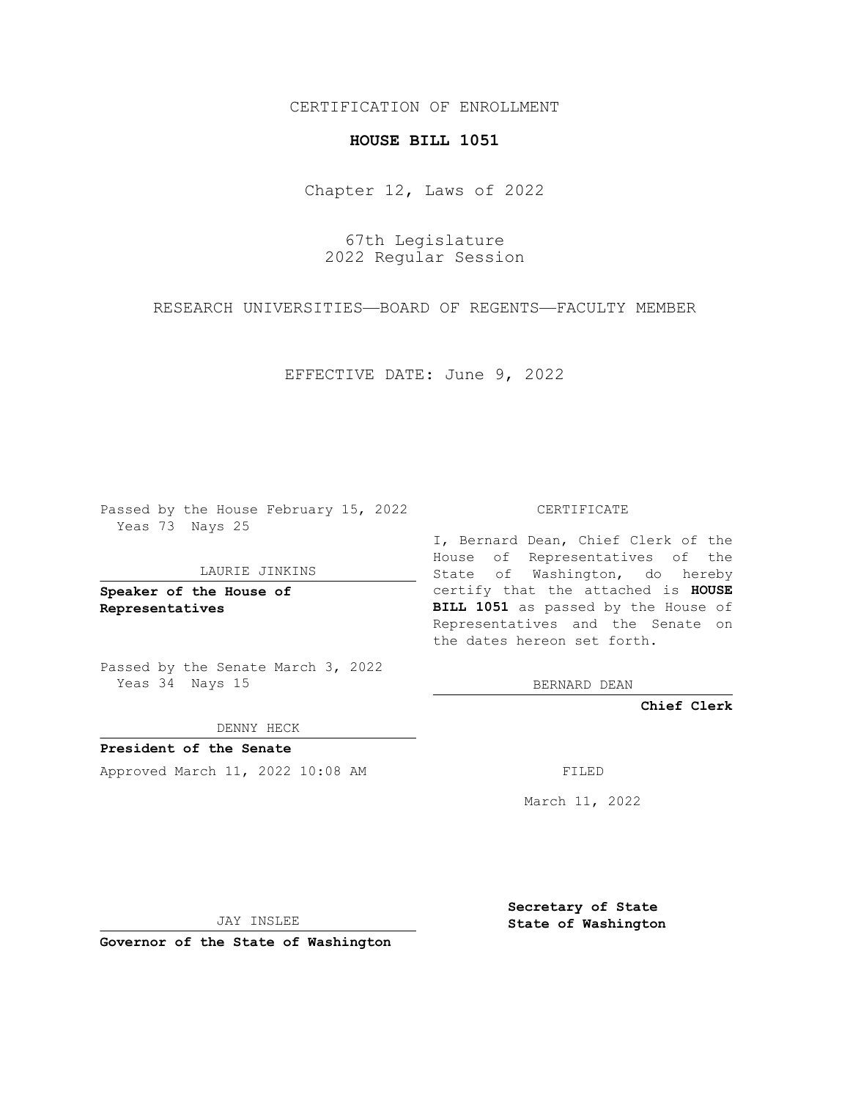## CERTIFICATION OF ENROLLMENT

## **HOUSE BILL 1051**

Chapter 12, Laws of 2022

67th Legislature 2022 Regular Session

RESEARCH UNIVERSITIES—BOARD OF REGENTS—FACULTY MEMBER

EFFECTIVE DATE: June 9, 2022

Passed by the House February 15, 2022 Yeas 73 Nays 25

#### LAURIE JINKINS

**Speaker of the House of Representatives**

Passed by the Senate March 3, 2022 Yeas 34 Nays 15

DENNY HECK

**President of the Senate** Approved March 11, 2022 10:08 AM FILED

CERTIFICATE

I, Bernard Dean, Chief Clerk of the House of Representatives of the State of Washington, do hereby certify that the attached is **HOUSE BILL 1051** as passed by the House of Representatives and the Senate on the dates hereon set forth.

BERNARD DEAN

**Chief Clerk**

March 11, 2022

JAY INSLEE

**Governor of the State of Washington**

**Secretary of State State of Washington**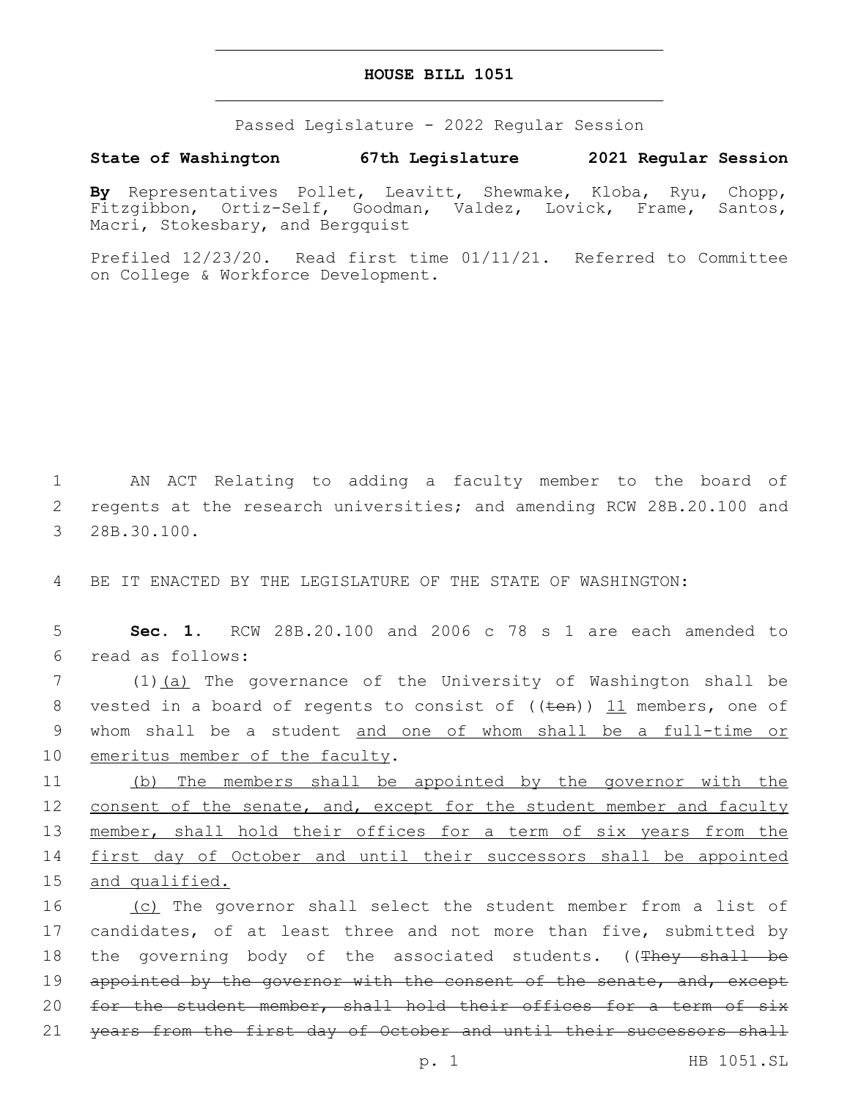### **HOUSE BILL 1051**

Passed Legislature - 2022 Regular Session

# **State of Washington 67th Legislature 2021 Regular Session**

**By** Representatives Pollet, Leavitt, Shewmake, Kloba, Ryu, Chopp, Fitzgibbon, Ortiz-Self, Goodman, Valdez, Lovick, Frame, Santos, Macri, Stokesbary, and Bergquist

Prefiled 12/23/20. Read first time 01/11/21. Referred to Committee on College & Workforce Development.

1 AN ACT Relating to adding a faculty member to the board of 2 regents at the research universities; and amending RCW 28B.20.100 and 3 28B.30.100.

4 BE IT ENACTED BY THE LEGISLATURE OF THE STATE OF WASHINGTON:

5 **Sec. 1.** RCW 28B.20.100 and 2006 c 78 s 1 are each amended to read as follows:6

7 (1)(a) The governance of the University of Washington shall be 8 vested in a board of regents to consist of  $((\text{ten}))$  11 members, one of 9 whom shall be a student and one of whom shall be a full-time or 10 emeritus member of the faculty.

 (b) The members shall be appointed by the governor with the 12 consent of the senate, and, except for the student member and faculty member, shall hold their offices for a term of six years from the first day of October and until their successors shall be appointed and qualified.

16 (c) The governor shall select the student member from a list of 17 candidates, of at least three and not more than five, submitted by 18 the governing body of the associated students. ((They shall be 19 appointed by the governor with the consent of the senate, and, except 20 for the student member, shall hold their offices for a term of six 21 years from the first day of October and until their successors shall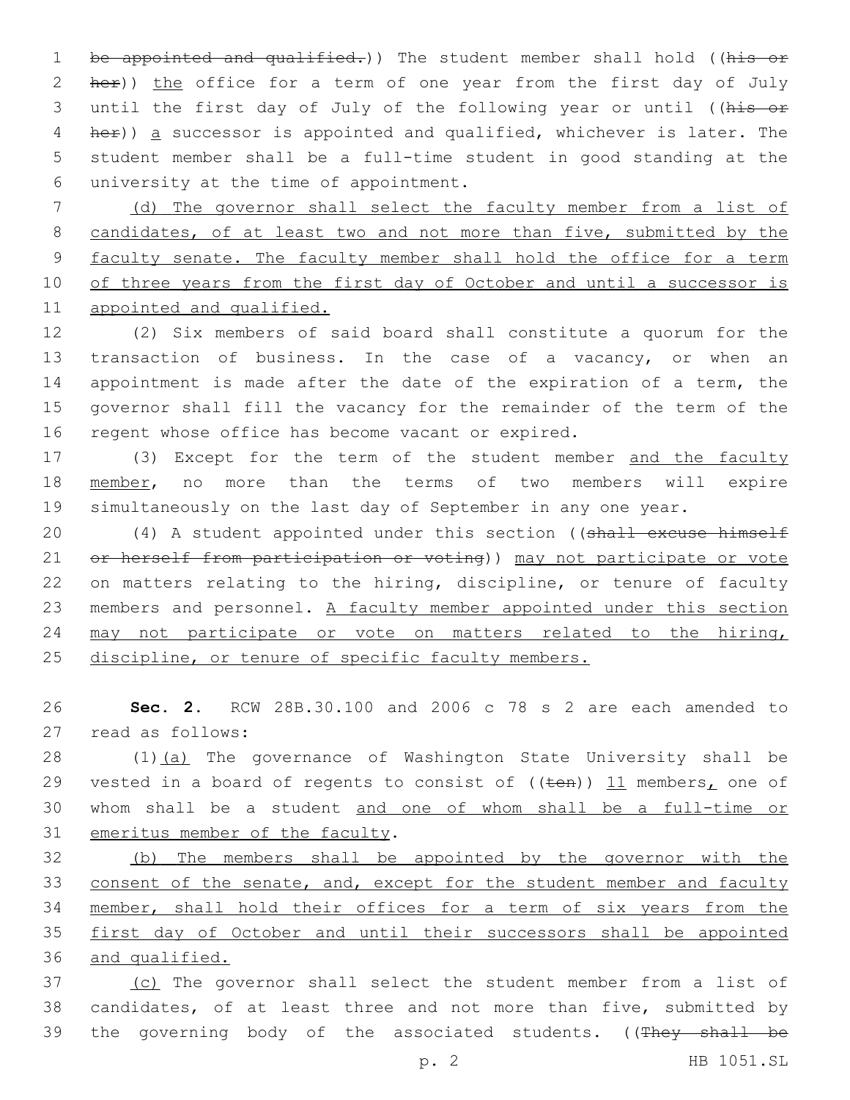1 be appointed and qualified.)) The student member shall hold ((his or 2 her)) the office for a term of one year from the first day of July 3 until the first day of July of the following year or until ((his or 4 her)) a successor is appointed and qualified, whichever is later. The 5 student member shall be a full-time student in good standing at the university at the time of appointment.6

7 (d) The governor shall select the faculty member from a list of 8 candidates, of at least two and not more than five, submitted by the 9 faculty senate. The faculty member shall hold the office for a term 10 of three years from the first day of October and until a successor is 11 appointed and qualified.

12 (2) Six members of said board shall constitute a quorum for the 13 transaction of business. In the case of a vacancy, or when an 14 appointment is made after the date of the expiration of a term, the 15 governor shall fill the vacancy for the remainder of the term of the 16 regent whose office has become vacant or expired.

17 (3) Except for the term of the student member and the faculty 18 member, no more than the terms of two members will expire 19 simultaneously on the last day of September in any one year.

20 (4) A student appointed under this section ((shall excuse himself 21 or herself from participation or voting)) may not participate or vote 22 on matters relating to the hiring, discipline, or tenure of faculty 23 members and personnel. A faculty member appointed under this section 24 may not participate or vote on matters related to the hiring, 25 discipline, or tenure of specific faculty members.

26 **Sec. 2.** RCW 28B.30.100 and 2006 c 78 s 2 are each amended to 27 read as follows:

28 (1)(a) The governance of Washington State University shall be 29 vested in a board of regents to consist of  $((\text{ten}))$  11 members, one of 30 whom shall be a student and one of whom shall be a full-time or 31 emeritus member of the faculty.

 (b) The members shall be appointed by the governor with the 33 consent of the senate, and, except for the student member and faculty member, shall hold their offices for a term of six years from the first day of October and until their successors shall be appointed and qualified.

37 (c) The governor shall select the student member from a list of 38 candidates, of at least three and not more than five, submitted by 39 the governing body of the associated students. ((They shall be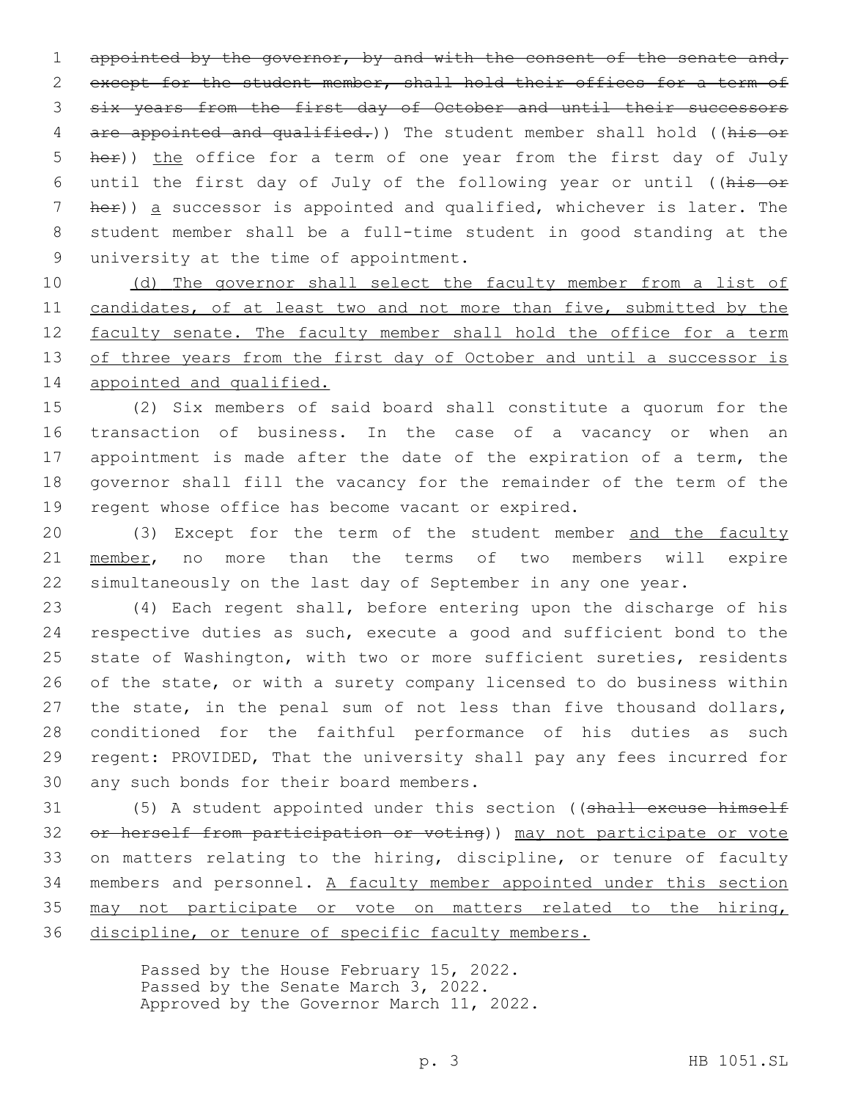1 appointed by the governor, by and with the consent of the senate and, 2 except for the student member, shall hold their offices for a term of 3 six years from the first day of October and until their successors 4 are appointed and qualified.)) The student member shall hold ((his or 5 her)) the office for a term of one year from the first day of July 6 until the first day of July of the following year or until ((his or 7 her)) a successor is appointed and qualified, whichever is later. The 8 student member shall be a full-time student in good standing at the 9 university at the time of appointment.

10 (d) The governor shall select the faculty member from a list of 11 candidates, of at least two and not more than five, submitted by the 12 faculty senate. The faculty member shall hold the office for a term 13 of three years from the first day of October and until a successor is 14 appointed and qualified.

15 (2) Six members of said board shall constitute a quorum for the 16 transaction of business. In the case of a vacancy or when an 17 appointment is made after the date of the expiration of a term, the 18 governor shall fill the vacancy for the remainder of the term of the 19 regent whose office has become vacant or expired.

20 (3) Except for the term of the student member and the faculty 21 member, no more than the terms of two members will expire 22 simultaneously on the last day of September in any one year.

 (4) Each regent shall, before entering upon the discharge of his respective duties as such, execute a good and sufficient bond to the state of Washington, with two or more sufficient sureties, residents of the state, or with a surety company licensed to do business within 27 the state, in the penal sum of not less than five thousand dollars, conditioned for the faithful performance of his duties as such regent: PROVIDED, That the university shall pay any fees incurred for 30 any such bonds for their board members.

31 (5) A student appointed under this section ((shall excuse himself or herself from participation or voting)) may not participate or vote on matters relating to the hiring, discipline, or tenure of faculty members and personnel. A faculty member appointed under this section may not participate or vote on matters related to the hiring, discipline, or tenure of specific faculty members.

> Passed by the House February 15, 2022. Passed by the Senate March 3, 2022. Approved by the Governor March 11, 2022.